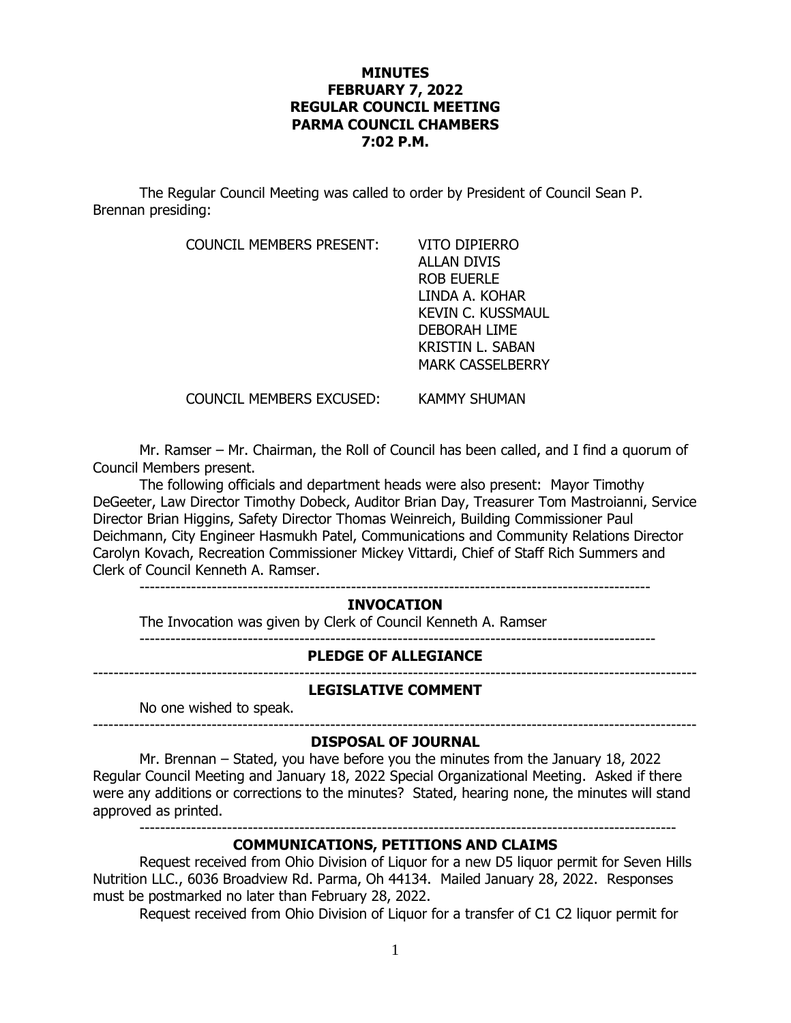## **MINUTES FEBRUARY 7, 2022 REGULAR COUNCIL MEETING PARMA COUNCIL CHAMBERS 7:02 P.M.**

The Regular Council Meeting was called to order by President of Council Sean P. Brennan presiding:

COUNCIL MEMBERS PRESENT: VITO DIPIERRO

ALLAN DIVIS ROB EUERLE LINDA A. KOHAR KEVIN C. KUSSMAUL DEBORAH LIME KRISTIN L. SABAN MARK CASSELBERRY

COUNCIL MEMBERS EXCUSED: KAMMY SHUMAN

Mr. Ramser – Mr. Chairman, the Roll of Council has been called, and I find a quorum of Council Members present.

The following officials and department heads were also present: Mayor Timothy DeGeeter, Law Director Timothy Dobeck, Auditor Brian Day, Treasurer Tom Mastroianni, Service Director Brian Higgins, Safety Director Thomas Weinreich, Building Commissioner Paul Deichmann, City Engineer Hasmukh Patel, Communications and Community Relations Director Carolyn Kovach, Recreation Commissioner Mickey Vittardi, Chief of Staff Rich Summers and Clerk of Council Kenneth A. Ramser.

---------------------------------------------------------------------------------------------------

# **INVOCATION**

The Invocation was given by Clerk of Council Kenneth A. Ramser ----------------------------------------------------------------------------------------------------

#### **PLEDGE OF ALLEGIANCE**

---------------------------------------------------------------------------------------------------------------------

#### **LEGISLATIVE COMMENT**

No one wished to speak.

#### --------------------------------------------------------------------------------------------------------------------- **DISPOSAL OF JOURNAL**

Mr. Brennan – Stated, you have before you the minutes from the January 18, 2022 Regular Council Meeting and January 18, 2022 Special Organizational Meeting. Asked if there were any additions or corrections to the minutes? Stated, hearing none, the minutes will stand approved as printed.

--------------------------------------------------------------------------------------------------------

# **COMMUNICATIONS, PETITIONS AND CLAIMS**

Request received from Ohio Division of Liquor for a new D5 liquor permit for Seven Hills Nutrition LLC., 6036 Broadview Rd. Parma, Oh 44134. Mailed January 28, 2022. Responses must be postmarked no later than February 28, 2022.

Request received from Ohio Division of Liquor for a transfer of C1 C2 liquor permit for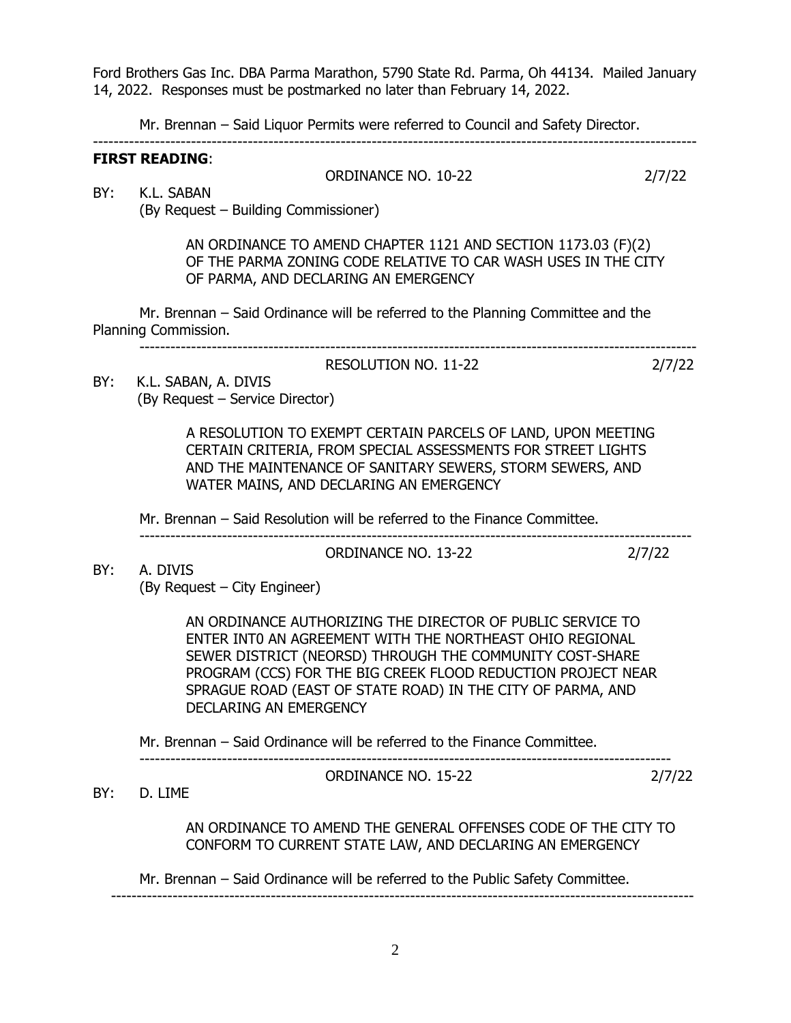Ford Brothers Gas Inc. DBA Parma Marathon, 5790 State Rd. Parma, Oh 44134. Mailed January 14, 2022. Responses must be postmarked no later than February 14, 2022.

Mr. Brennan – Said Liquor Permits were referred to Council and Safety Director.

#### --------------------------------------------------------------------------------------------------------------------- **FIRST READING**:

### ORDINANCE NO. 10-22 2/7/22

BY: K.L. SABAN (By Request – Building Commissioner)

> AN ORDINANCE TO AMEND CHAPTER 1121 AND SECTION 1173.03 (F)(2) OF THE PARMA ZONING CODE RELATIVE TO CAR WASH USES IN THE CITY OF PARMA, AND DECLARING AN EMERGENCY

Mr. Brennan – Said Ordinance will be referred to the Planning Committee and the Planning Commission.

------------------------------------------------------------------------------------------------------------

RESOLUTION NO. 11-22 2/7/22 BY: K.L. SABAN, A. DIVIS (By Request – Service Director)

> A RESOLUTION TO EXEMPT CERTAIN PARCELS OF LAND, UPON MEETING CERTAIN CRITERIA, FROM SPECIAL ASSESSMENTS FOR STREET LIGHTS AND THE MAINTENANCE OF SANITARY SEWERS, STORM SEWERS, AND WATER MAINS, AND DECLARING AN EMERGENCY

Mr. Brennan – Said Resolution will be referred to the Finance Committee.

#### ----------------------------------------------------------------------------------------------------------- ORDINANCE NO. 13-22 2/7/22

BY: A. DIVIS (By Request – City Engineer)

> AN ORDINANCE AUTHORIZING THE DIRECTOR OF PUBLIC SERVICE TO ENTER INT0 AN AGREEMENT WITH THE NORTHEAST OHIO REGIONAL SEWER DISTRICT (NEORSD) THROUGH THE COMMUNITY COST-SHARE PROGRAM (CCS) FOR THE BIG CREEK FLOOD REDUCTION PROJECT NEAR SPRAGUE ROAD (EAST OF STATE ROAD) IN THE CITY OF PARMA, AND DECLARING AN EMERGENCY

Mr. Brennan – Said Ordinance will be referred to the Finance Committee.

-------------------------------------------------------------------------------------------------------

ORDINANCE NO. 15-22 2/7/22

### BY: D. LIME

AN ORDINANCE TO AMEND THE GENERAL OFFENSES CODE OF THE CITY TO CONFORM TO CURRENT STATE LAW, AND DECLARING AN EMERGENCY

Mr. Brennan – Said Ordinance will be referred to the Public Safety Committee.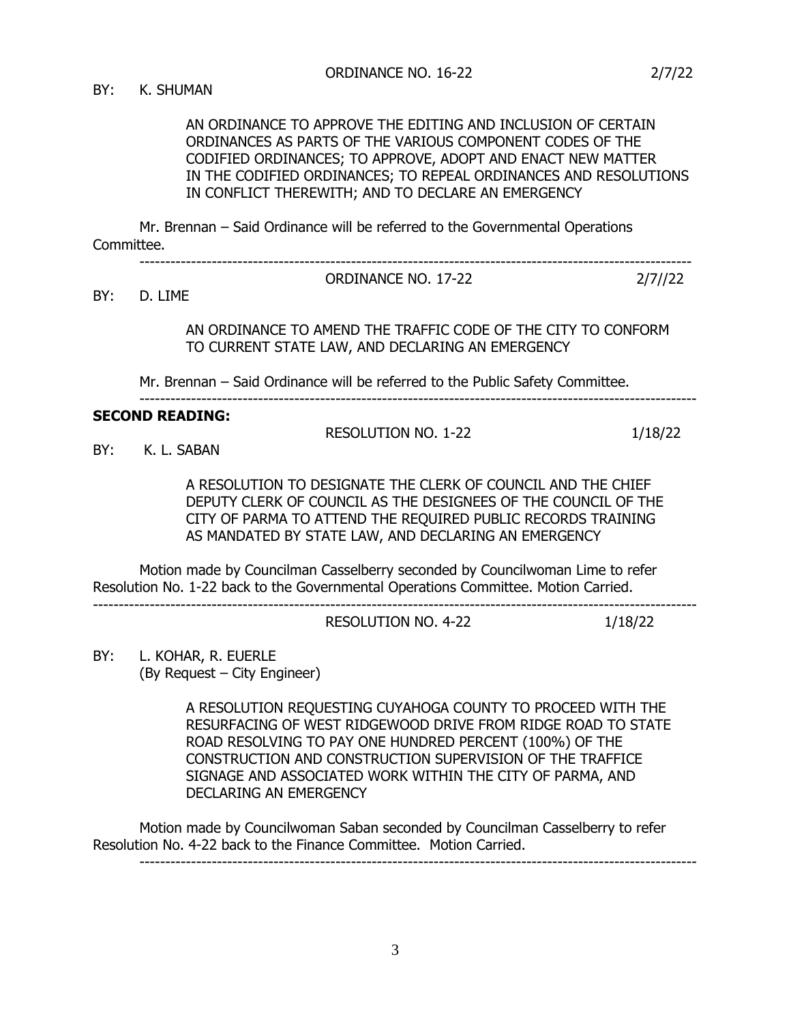AN ORDINANCE TO APPROVE THE EDITING AND INCLUSION OF CERTAIN ORDINANCES AS PARTS OF THE VARIOUS COMPONENT CODES OF THE CODIFIED ORDINANCES; TO APPROVE, ADOPT AND ENACT NEW MATTER IN THE CODIFIED ORDINANCES; TO REPEAL ORDINANCES AND RESOLUTIONS IN CONFLICT THEREWITH; AND TO DECLARE AN EMERGENCY

Mr. Brennan – Said Ordinance will be referred to the Governmental Operations Committee.

-----------------------------------------------------------------------------------------------------------

BY: D. LIME

AN ORDINANCE TO AMEND THE TRAFFIC CODE OF THE CITY TO CONFORM TO CURRENT STATE LAW, AND DECLARING AN EMERGENCY

------------------------------------------------------------------------------------------------------------

ORDINANCE NO. 17-22 2/7//22

Mr. Brennan – Said Ordinance will be referred to the Public Safety Committee.

#### **SECOND READING:**

RESOLUTION NO. 1-22 1/18/22

BY: K. L. SABAN

A RESOLUTION TO DESIGNATE THE CLERK OF COUNCIL AND THE CHIEF DEPUTY CLERK OF COUNCIL AS THE DESIGNEES OF THE COUNCIL OF THE CITY OF PARMA TO ATTEND THE REQUIRED PUBLIC RECORDS TRAINING AS MANDATED BY STATE LAW, AND DECLARING AN EMERGENCY

Motion made by Councilman Casselberry seconded by Councilwoman Lime to refer Resolution No. 1-22 back to the Governmental Operations Committee. Motion Carried.

---------------------------------------------------------------------------------------------------------------------

RESOLUTION NO. 4-22 1/18/22

BY: L. KOHAR, R. EUERLE (By Request – City Engineer)

> A RESOLUTION REQUESTING CUYAHOGA COUNTY TO PROCEED WITH THE RESURFACING OF WEST RIDGEWOOD DRIVE FROM RIDGE ROAD TO STATE ROAD RESOLVING TO PAY ONE HUNDRED PERCENT (100%) OF THE CONSTRUCTION AND CONSTRUCTION SUPERVISION OF THE TRAFFICE SIGNAGE AND ASSOCIATED WORK WITHIN THE CITY OF PARMA, AND DECLARING AN EMERGENCY

Motion made by Councilwoman Saban seconded by Councilman Casselberry to refer Resolution No. 4-22 back to the Finance Committee. Motion Carried. ------------------------------------------------------------------------------------------------------------

3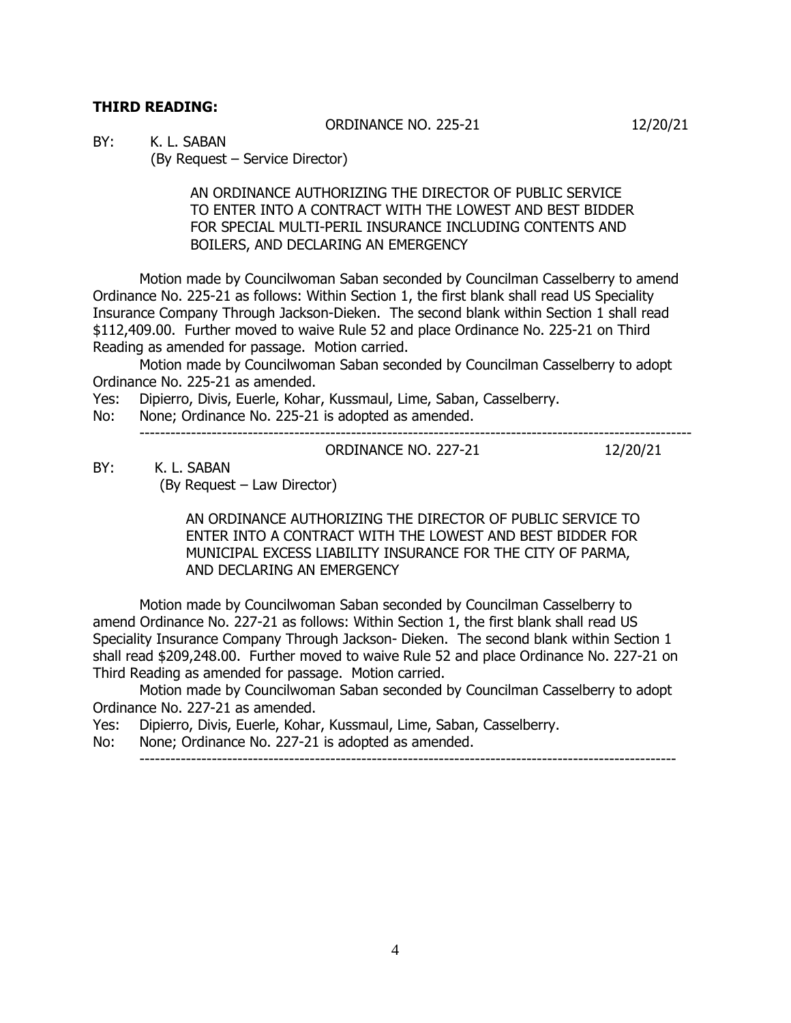# **THIRD READING:**

ORDINANCE NO. 225-21 12/20/21

BY: K. L. SABAN

(By Request – Service Director)

AN ORDINANCE AUTHORIZING THE DIRECTOR OF PUBLIC SERVICE TO ENTER INTO A CONTRACT WITH THE LOWEST AND BEST BIDDER FOR SPECIAL MULTI-PERIL INSURANCE INCLUDING CONTENTS AND BOILERS, AND DECLARING AN EMERGENCY

Motion made by Councilwoman Saban seconded by Councilman Casselberry to amend Ordinance No. 225-21 as follows: Within Section 1, the first blank shall read US Speciality Insurance Company Through Jackson-Dieken. The second blank within Section 1 shall read \$112,409.00. Further moved to waive Rule 52 and place Ordinance No. 225-21 on Third Reading as amended for passage. Motion carried.

Motion made by Councilwoman Saban seconded by Councilman Casselberry to adopt Ordinance No. 225-21 as amended.

Yes: Dipierro, Divis, Euerle, Kohar, Kussmaul, Lime, Saban, Casselberry.

No: None; Ordinance No. 225-21 is adopted as amended.

-----------------------------------------------------------------------------------------------------------

### ORDINANCE NO. 227-21 12/20/21

BY: K. L. SABAN (By Request – Law Director)

> AN ORDINANCE AUTHORIZING THE DIRECTOR OF PUBLIC SERVICE TO ENTER INTO A CONTRACT WITH THE LOWEST AND BEST BIDDER FOR MUNICIPAL EXCESS LIABILITY INSURANCE FOR THE CITY OF PARMA, AND DECLARING AN EMERGENCY

Motion made by Councilwoman Saban seconded by Councilman Casselberry to amend Ordinance No. 227-21 as follows: Within Section 1, the first blank shall read US Speciality Insurance Company Through Jackson- Dieken. The second blank within Section 1 shall read \$209,248.00. Further moved to waive Rule 52 and place Ordinance No. 227-21 on Third Reading as amended for passage. Motion carried.

Motion made by Councilwoman Saban seconded by Councilman Casselberry to adopt Ordinance No. 227-21 as amended.

Yes: Dipierro, Divis, Euerle, Kohar, Kussmaul, Lime, Saban, Casselberry.

No: None; Ordinance No. 227-21 is adopted as amended.

--------------------------------------------------------------------------------------------------------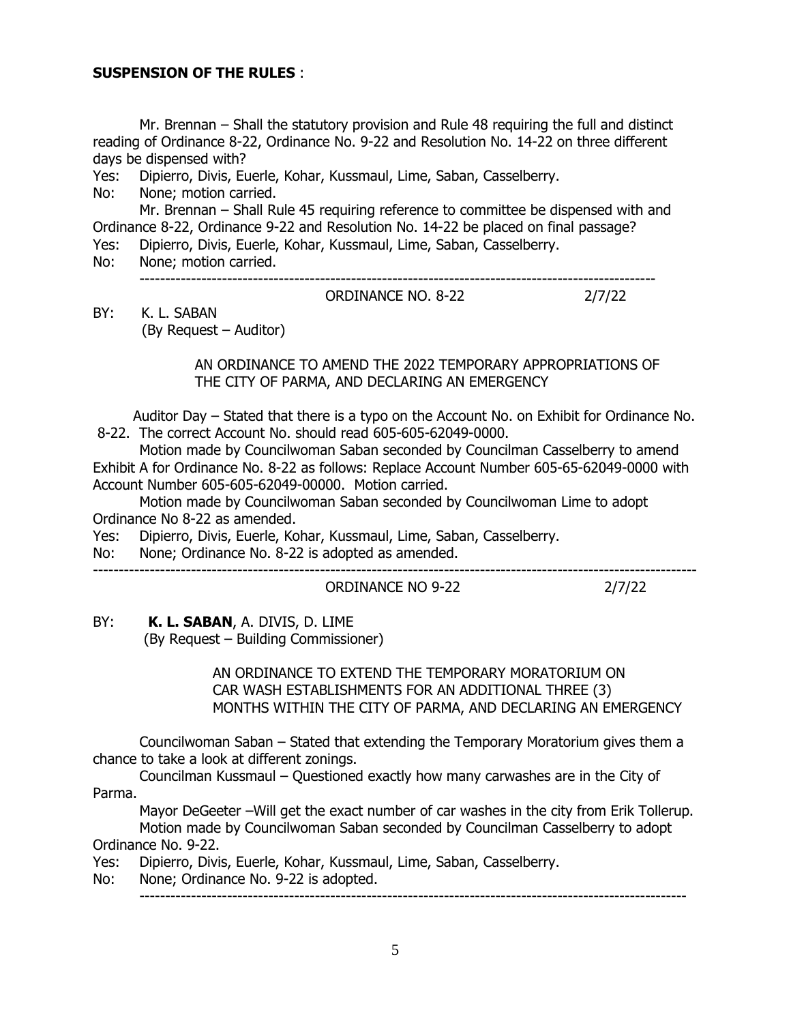### **SUSPENSION OF THE RULES** :

Mr. Brennan – Shall the statutory provision and Rule 48 requiring the full and distinct reading of Ordinance 8-22, Ordinance No. 9-22 and Resolution No. 14-22 on three different days be dispensed with?

Yes: Dipierro, Divis, Euerle, Kohar, Kussmaul, Lime, Saban, Casselberry.

No: None; motion carried.

Mr. Brennan – Shall Rule 45 requiring reference to committee be dispensed with and Ordinance 8-22, Ordinance 9-22 and Resolution No. 14-22 be placed on final passage?

Yes: Dipierro, Divis, Euerle, Kohar, Kussmaul, Lime, Saban, Casselberry.

No: None; motion carried.

----------------------------------------------------------------------------------------------------

BY: K. L. SABAN (By Request – Auditor) ORDINANCE NO. 8-22 2/7/22

 AN ORDINANCE TO AMEND THE 2022 TEMPORARY APPROPRIATIONS OF THE CITY OF PARMA, AND DECLARING AN EMERGENCY

 Auditor Day – Stated that there is a typo on the Account No. on Exhibit for Ordinance No. 8-22. The correct Account No. should read 605-605-62049-0000.

Motion made by Councilwoman Saban seconded by Councilman Casselberry to amend Exhibit A for Ordinance No. 8-22 as follows: Replace Account Number 605-65-62049-0000 with Account Number 605-605-62049-00000. Motion carried.

Motion made by Councilwoman Saban seconded by Councilwoman Lime to adopt Ordinance No 8-22 as amended.

Yes: Dipierro, Divis, Euerle, Kohar, Kussmaul, Lime, Saban, Casselberry.

No: None; Ordinance No. 8-22 is adopted as amended.

#### --------------------------------------------------------------------------------------------------------------------- ORDINANCE NO 9-22 2/7/22

BY: **K. L. SABAN**, A. DIVIS, D. LIME

(By Request – Building Commissioner)

 AN ORDINANCE TO EXTEND THE TEMPORARY MORATORIUM ON CAR WASH ESTABLISHMENTS FOR AN ADDITIONAL THREE (3) MONTHS WITHIN THE CITY OF PARMA, AND DECLARING AN EMERGENCY

Councilwoman Saban – Stated that extending the Temporary Moratorium gives them a chance to take a look at different zonings.

Councilman Kussmaul – Questioned exactly how many carwashes are in the City of Parma.

Mayor DeGeeter –Will get the exact number of car washes in the city from Erik Tollerup. Motion made by Councilwoman Saban seconded by Councilman Casselberry to adopt Ordinance No. 9-22.

Yes: Dipierro, Divis, Euerle, Kohar, Kussmaul, Lime, Saban, Casselberry.

No: None; Ordinance No. 9-22 is adopted.

----------------------------------------------------------------------------------------------------------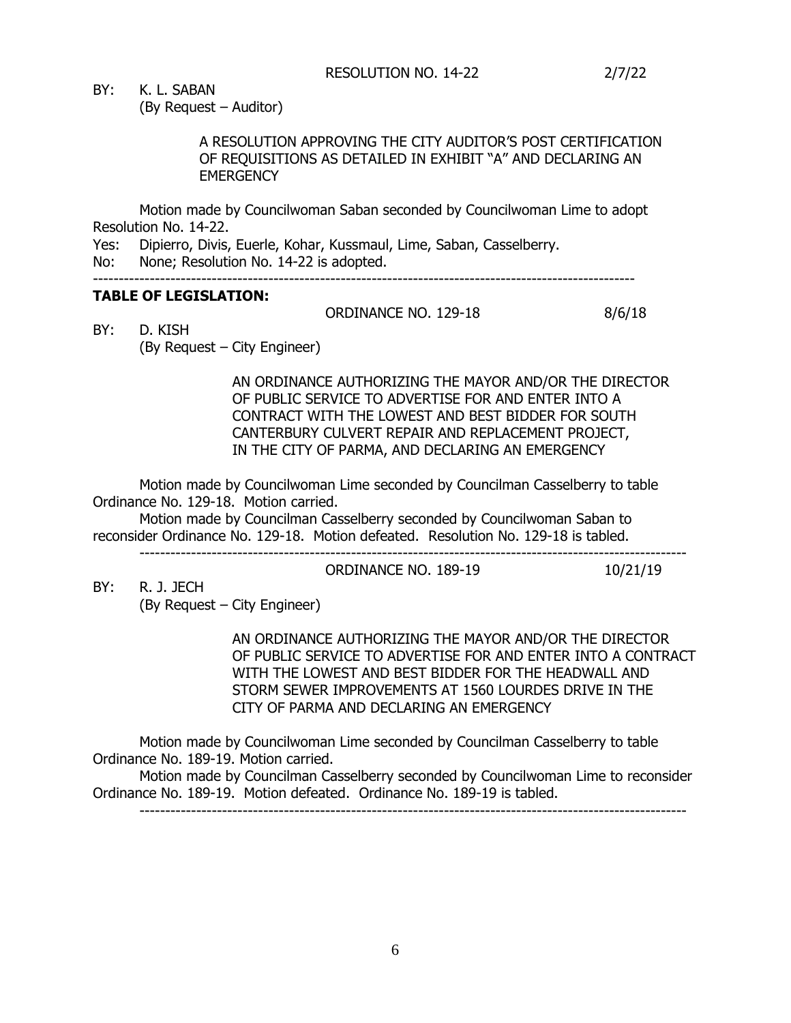BY: K. L. SABAN

(By Request – Auditor)

## A RESOLUTION APPROVING THE CITY AUDITOR'S POST CERTIFICATION OF REQUISITIONS AS DETAILED IN EXHIBIT "A" AND DECLARING AN **EMERGENCY**

Motion made by Councilwoman Saban seconded by Councilwoman Lime to adopt Resolution No. 14-22.

Yes: Dipierro, Divis, Euerle, Kohar, Kussmaul, Lime, Saban, Casselberry.

No: None; Resolution No. 14-22 is adopted.

#### ---------------------------------------------------------------------------------------------------------

## **TABLE OF LEGISLATION:**

ORDINANCE NO. 129-18 8/6/18

BY: D. KISH (By Request – City Engineer)

> AN ORDINANCE AUTHORIZING THE MAYOR AND/OR THE DIRECTOR OF PUBLIC SERVICE TO ADVERTISE FOR AND ENTER INTO A CONTRACT WITH THE LOWEST AND BEST BIDDER FOR SOUTH CANTERBURY CULVERT REPAIR AND REPLACEMENT PROJECT, IN THE CITY OF PARMA, AND DECLARING AN EMERGENCY

Motion made by Councilwoman Lime seconded by Councilman Casselberry to table Ordinance No. 129-18. Motion carried.

Motion made by Councilman Casselberry seconded by Councilwoman Saban to reconsider Ordinance No. 129-18. Motion defeated. Resolution No. 129-18 is tabled. ----------------------------------------------------------------------------------------------------------

ORDINANCE NO. 189-19 10/21/19

BY: R. J. JECH

(By Request – City Engineer)

AN ORDINANCE AUTHORIZING THE MAYOR AND/OR THE DIRECTOR OF PUBLIC SERVICE TO ADVERTISE FOR AND ENTER INTO A CONTRACT WITH THE LOWEST AND BEST BIDDER FOR THE HEADWALL AND STORM SEWER IMPROVEMENTS AT 1560 LOURDES DRIVE IN THE CITY OF PARMA AND DECLARING AN EMERGENCY

Motion made by Councilwoman Lime seconded by Councilman Casselberry to table Ordinance No. 189-19. Motion carried.

Motion made by Councilman Casselberry seconded by Councilwoman Lime to reconsider Ordinance No. 189-19. Motion defeated. Ordinance No. 189-19 is tabled.

----------------------------------------------------------------------------------------------------------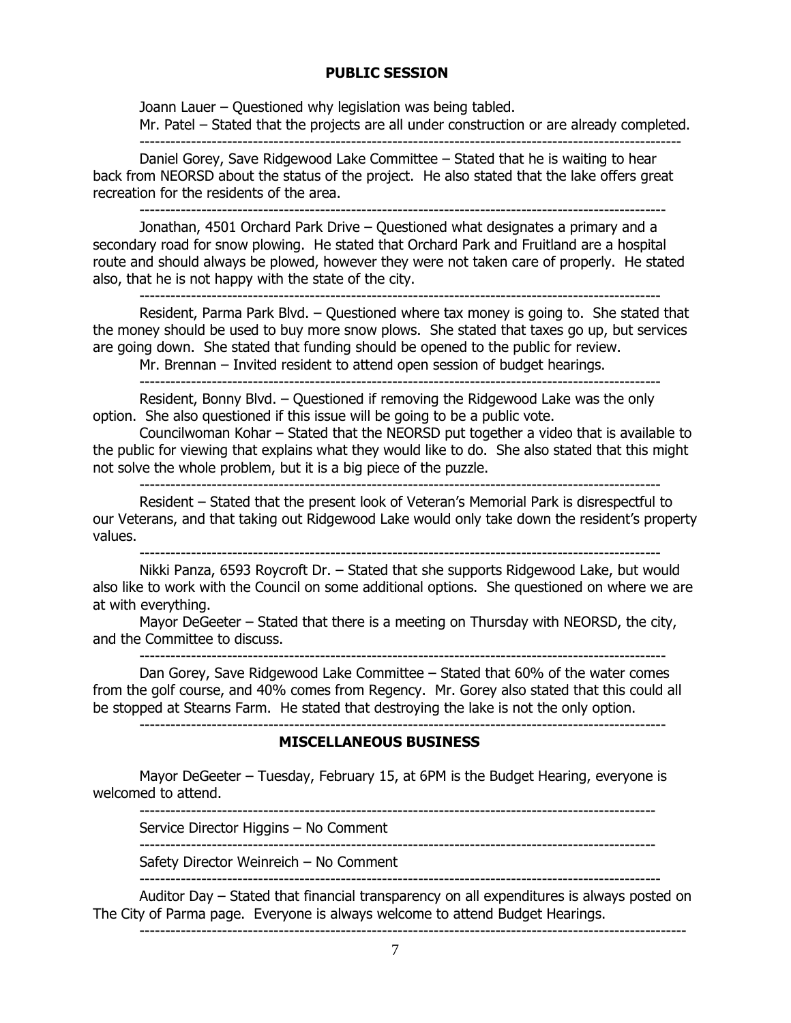### **PUBLIC SESSION**

Joann Lauer – Questioned why legislation was being tabled. Mr. Patel – Stated that the projects are all under construction or are already completed. ---------------------------------------------------------------------------------------------------------

Daniel Gorey, Save Ridgewood Lake Committee – Stated that he is waiting to hear back from NEORSD about the status of the project. He also stated that the lake offers great recreation for the residents of the area.

------------------------------------------------------------------------------------------------------

Jonathan, 4501 Orchard Park Drive – Questioned what designates a primary and a secondary road for snow plowing. He stated that Orchard Park and Fruitland are a hospital route and should always be plowed, however they were not taken care of properly. He stated also, that he is not happy with the state of the city.

-----------------------------------------------------------------------------------------------------

Resident, Parma Park Blvd. – Questioned where tax money is going to. She stated that the money should be used to buy more snow plows. She stated that taxes go up, but services are going down. She stated that funding should be opened to the public for review.

Mr. Brennan – Invited resident to attend open session of budget hearings. -----------------------------------------------------------------------------------------------------

Resident, Bonny Blvd. – Questioned if removing the Ridgewood Lake was the only option. She also questioned if this issue will be going to be a public vote.

Councilwoman Kohar – Stated that the NEORSD put together a video that is available to the public for viewing that explains what they would like to do. She also stated that this might not solve the whole problem, but it is a big piece of the puzzle.

Resident – Stated that the present look of Veteran's Memorial Park is disrespectful to our Veterans, and that taking out Ridgewood Lake would only take down the resident's property values. -----------------------------------------------------------------------------------------------------

Nikki Panza, 6593 Roycroft Dr. – Stated that she supports Ridgewood Lake, but would also like to work with the Council on some additional options. She questioned on where we are at with everything.

Mayor DeGeeter – Stated that there is a meeting on Thursday with NEORSD, the city, and the Committee to discuss.

------------------------------------------------------------------------------------------------------

Dan Gorey, Save Ridgewood Lake Committee – Stated that 60% of the water comes from the golf course, and 40% comes from Regency. Mr. Gorey also stated that this could all be stopped at Stearns Farm. He stated that destroying the lake is not the only option. ------------------------------------------------------------------------------------------------------

### **MISCELLANEOUS BUSINESS**

Mayor DeGeeter – Tuesday, February 15, at 6PM is the Budget Hearing, everyone is welcomed to attend.

----------------------------------------------------------------------------------------------------

Service Director Higgins – No Comment

----------------------------------------------------------------------------------------------------

Safety Director Weinreich – No Comment -----------------------------------------------------------------------------------------------------

Auditor Day – Stated that financial transparency on all expenditures is always posted on The City of Parma page. Everyone is always welcome to attend Budget Hearings.

----------------------------------------------------------------------------------------------------------